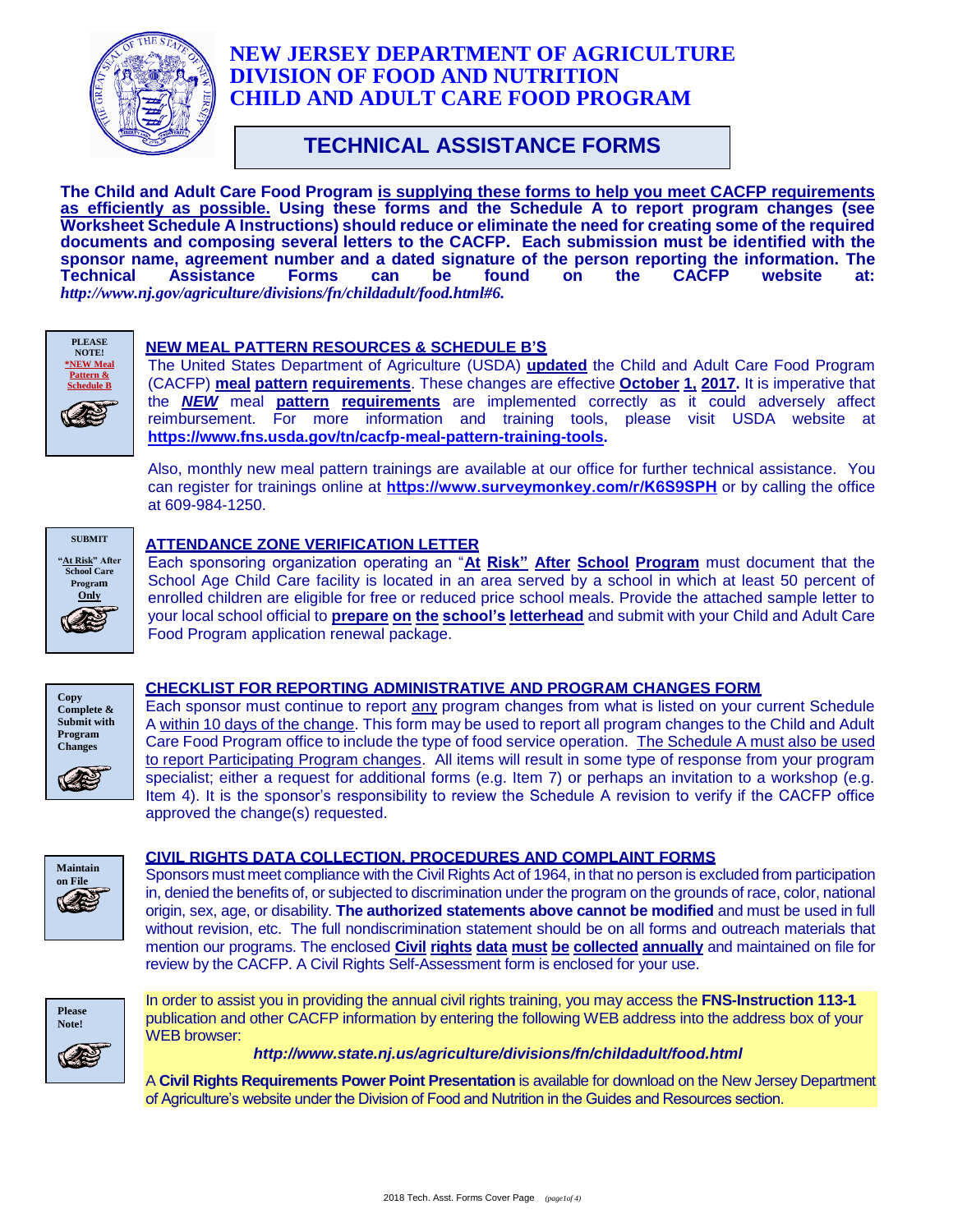

# **NEW JERSEY DEPARTMENT OF AGRICULTURE DIVISION OF FOOD AND NUTRITION CHILD AND ADULT CARE FOOD PROGRAM**

# **TECHNICAL ASSISTANCE FORMS**

**The Child and Adult Care Food Program is supplying these forms to help you meet CACFP requirements as efficiently as possible. Using these forms and the Schedule A to report program changes (see Worksheet Schedule A Instructions) should reduce or eliminate the need for creating some of the required documents and composing several letters to the CACFP. Each submission must be identified with the sponsor name, agreement number and a dated signature of the person reporting the information. The Technical Assistance Forms can be found on the CACFP website at:**  *[http://www.nj.gov/agriculture/divisions/fn/childadult/food.html#6.](http://www.nj.gov/agriculture/divisions/fn/childadult/food.html#6)*



## **NEW MEAL PATTERN RESOURCES & SCHEDULE B'S**

The United States Department of Agriculture (USDA) **updated** the Child and Adult Care Food Program (CACFP) **meal pattern requirements**. These changes are effective **October 1, 2017.** It is imperative that the *NEW* meal **pattern requirements** are implemented correctly as it could adversely affect reimbursement. For more information and training tools, please visit USDA website at **https://www.fns.usda.gov/tn/cacfp-meal-pattern-training-tools.**

Also, monthly new meal pattern trainings are available at our office for further technical assistance. You can register for trainings online at **<https://www.surveymonkey.com/r/K6S9SPH>** or by calling the office at 609-984-1250.



## **ATTENDANCE ZONE VERIFICATION LETTER**

Each sponsoring organization operating an "**At Risk" After School Program** must document that the School Age Child Care facility is located in an area served by a school in which at least 50 percent of enrolled children are eligible for free or reduced price school meals. Provide the attached sample letter to your local school official to **prepare on the school's letterhead** and submit with your Child and Adult Care Food Program application renewal package.



## **CHECKLIST FOR REPORTING ADMINISTRATIVE AND PROGRAM CHANGES FORM**

Each sponsor must continue to report any program changes from what is listed on your current Schedule A within 10 days of the change. This form may be used to report all program changes to the Child and Adult Care Food Program office to include the type of food service operation. The Schedule A must also be used to report Participating Program changes. All items will result in some type of response from your program specialist; either a request for additional forms (e.g. Item 7) or perhaps an invitation to a workshop (e.g. Item 4). It is the sponsor's responsibility to review the Schedule A revision to verify if the CACFP office approved the change(s) requested.



## **CIVIL RIGHTS DATA COLLECTION, PROCEDURES AND COMPLAINT FORMS**

Sponsors must meet compliance with the Civil Rights Act of 1964, in that no person is excluded from participation in, denied the benefits of, or subjected to discrimination under the program on the grounds of race, color, national origin, sex, age, or disability. **The authorized statements above cannot be modified** and must be used in full without revision, etc. The full nondiscrimination statement should be on all forms and outreach materials that mention our programs. The enclosed **Civil rights data must be collected annually** and maintained on file for review by the CACFP. A Civil Rights Self-Assessment form is enclosed for your use.



In order to assist you in providing the annual civil rights training, you may access the **FNS-Instruction 113-1** publication and other CACFP information by entering the following WEB address into the address box of your WEB browser:

 *http://www.state.nj.us/agriculture/divisions/fn/childadult/food.html*

A **Civil Rights Requirements Power Point Presentation** is available for download on the New Jersey Department of Agriculture's website under the Division of Food and Nutrition in the Guides and Resources section.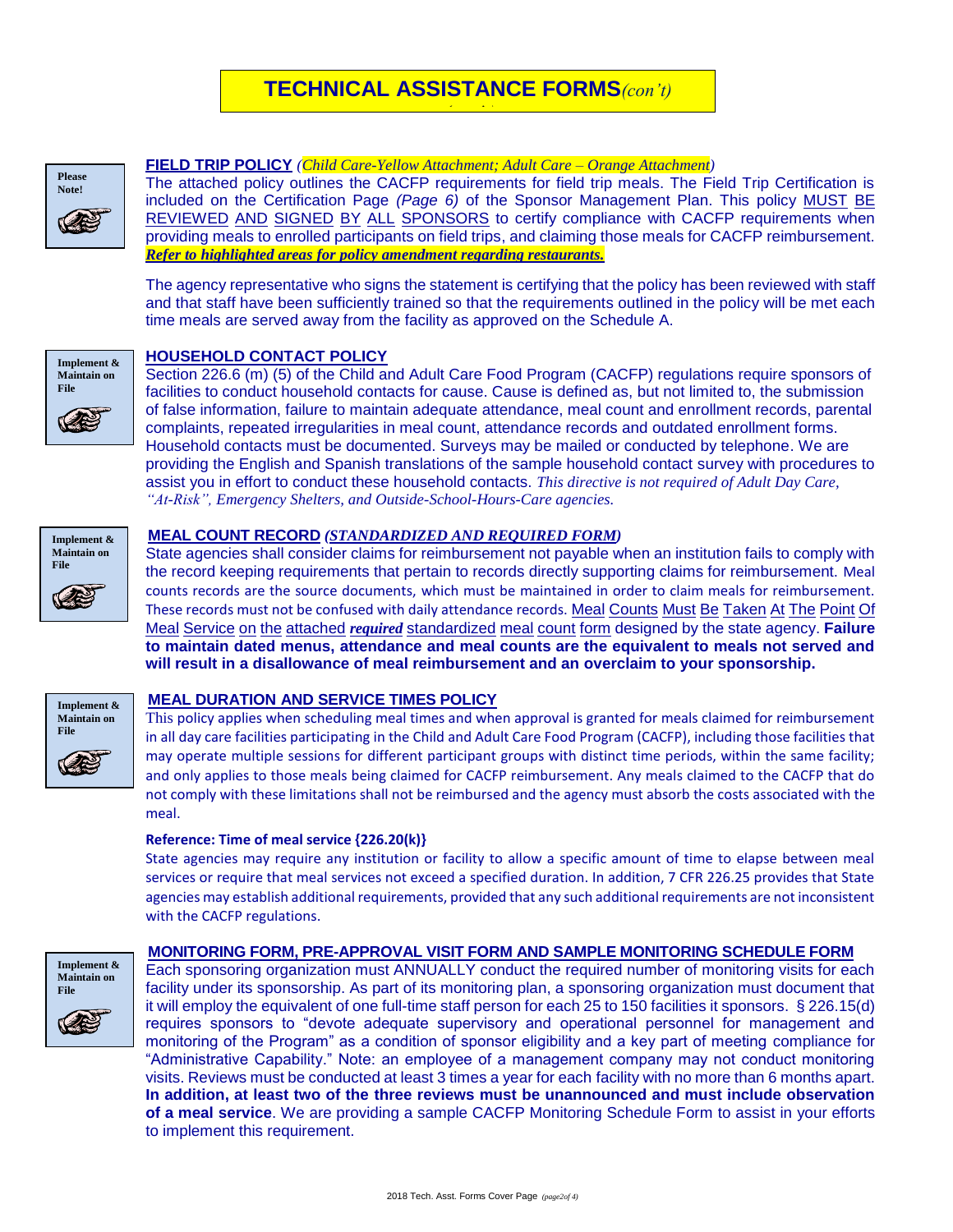# **TECHNICAL ASSISTANCE FORMS***(con't) (con't)*



#### **FIELD TRIP POLICY** *(Child Care-Yellow Attachment; Adult Care – Orange Attachment)*

The attached policy outlines the CACFP requirements for field trip meals. The Field Trip Certification is included on the Certification Page *(Page 6)* of the Sponsor Management Plan. This policy MUST BE REVIEWED AND SIGNED BY ALL SPONSORS to certify compliance with CACFP requirements when providing meals to enrolled participants on field trips, and claiming those meals for CACFP reimbursement. *Refer to highlighted areas for policy amendment regarding restaurants.*

The agency representative who signs the statement is certifying that the policy has been reviewed with staff and that staff have been sufficiently trained so that the requirements outlined in the policy will be met each time meals are served away from the facility as approved on the Schedule A.



#### **HOUSEHOLD CONTACT POLICY**

Section 226.6 (m) (5) of the Child and Adult Care Food Program (CACFP) regulations require sponsors of facilities to conduct household contacts for cause. Cause is defined as, but not limited to, the submission of false information, failure to maintain adequate attendance, meal count and enrollment records, parental complaints, repeated irregularities in meal count, attendance records and outdated enrollment forms. Household contacts must be documented. Surveys may be mailed or conducted by telephone. We are providing the English and Spanish translations of the sample household contact survey with procedures to assist you in effort to conduct these household contacts. *This directive is not required of Adult Day Care, "At-Risk", Emergency Shelters, and Outside-School-Hours-Care agencies.*



#### **MEAL COUNT RECORD** *(STANDARDIZED AND REQUIRED FORM)*

State agencies shall consider claims for reimbursement not payable when an institution fails to comply with the record keeping requirements that pertain to records directly supporting claims for reimbursement. Meal counts records are the source documents, which must be maintained in order to claim meals for reimbursement. These records must not be confused with daily attendance records. Meal Counts Must Be Taken At The Point Of Meal Service on the attached *required* standardized meal count form designed by the state agency. **Failure to maintain dated menus, attendance and meal counts are the equivalent to meals not served and will result in a disallowance of meal reimbursement and an overclaim to your sponsorship.**



#### **MEAL DURATION AND SERVICE TIMES POLICY**

This policy applies when scheduling meal times and when approval is granted for meals claimed for reimbursement in all day care facilities participating in the Child and Adult Care Food Program (CACFP), including those facilities that may operate multiple sessions for different participant groups with distinct time periods, within the same facility; and only applies to those meals being claimed for CACFP reimbursement. Any meals claimed to the CACFP that do not comply with these limitations shall not be reimbursed and the agency must absorb the costs associated with the meal.

#### **Reference: Time of meal service {226.20(k)}**

State agencies may require any institution or facility to allow a specific amount of time to elapse between meal services or require that meal services not exceed a specified duration. In addition, 7 CFR 226.25 provides that State agencies may establish additional requirements, provided that any such additional requirements are not inconsistent with the CACFP regulations.



#### **MONITORING FORM, PRE-APPROVAL VISIT FORM AND SAMPLE MONITORING SCHEDULE FORM**

Each sponsoring organization must ANNUALLY conduct the required number of monitoring visits for each facility under its sponsorship. As part of its monitoring plan, a sponsoring organization must document that it will employ the equivalent of one full-time staff person for each 25 to 150 facilities it sponsors. § 226.15(d) requires sponsors to "devote adequate supervisory and operational personnel for management and monitoring of the Program" as a condition of sponsor eligibility and a key part of meeting compliance for "Administrative Capability." Note: an employee of a management company may not conduct monitoring visits. Reviews must be conducted at least 3 times a year for each facility with no more than 6 months apart. **In addition, at least two of the three reviews must be unannounced and must include observation of a meal service**. We are providing a sample CACFP Monitoring Schedule Form to assist in your efforts to implement this requirement.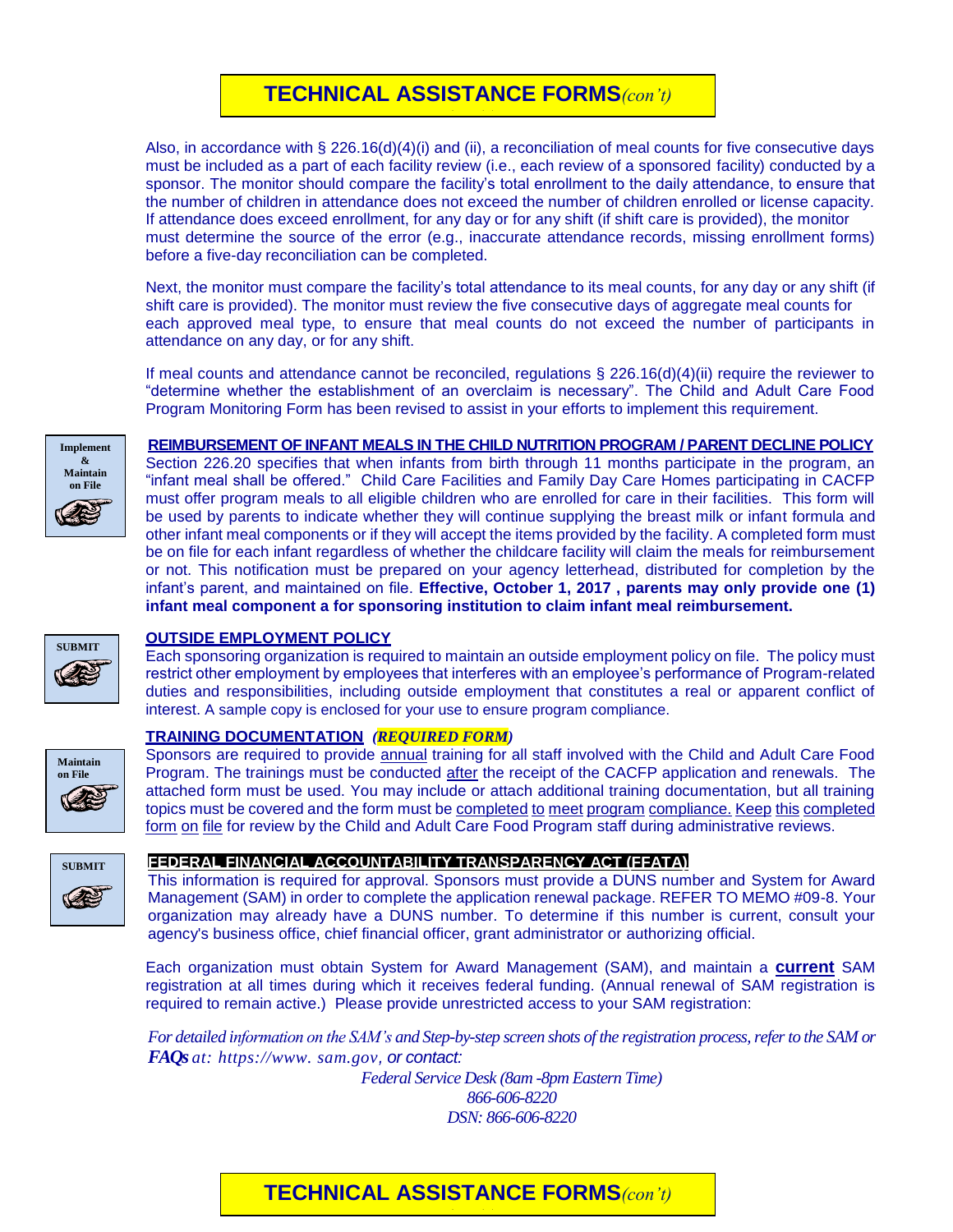# **TECHNICAL ASSISTANCE FORMS***(con't) (con't)*

Also, in accordance with § 226.16(d)(4)(i) and (ii), a reconciliation of meal counts for five consecutive days must be included as a part of each facility review (i.e., each review of a sponsored facility) conducted by a sponsor. The monitor should compare the facility's total enrollment to the daily attendance, to ensure that the number of children in attendance does not exceed the number of children enrolled or license capacity. If attendance does exceed enrollment, for any day or for any shift (if shift care is provided), the monitor must determine the source of the error (e.g., inaccurate attendance records, missing enrollment forms) before a five-day reconciliation can be completed.

Next, the monitor must compare the facility's total attendance to its meal counts, for any day or any shift (if shift care is provided). The monitor must review the five consecutive days of aggregate meal counts for each approved meal type, to ensure that meal counts do not exceed the number of participants in attendance on any day, or for any shift.

If meal counts and attendance cannot be reconciled, regulations § 226.16(d)(4)(ii) require the reviewer to "determine whether the establishment of an overclaim is necessary". The Child and Adult Care Food Program Monitoring Form has been revised to assist in your efforts to implement this requirement.



## **REIMBURSEMENT OF INFANT MEALS IN THE CHILD NUTRITION PROGRAM / PARENT DECLINE POLICY**

Section 226.20 specifies that when infants from birth through 11 months participate in the program, an "infant meal shall be offered." Child Care Facilities and Family Day Care Homes participating in CACFP must offer program meals to all eligible children who are enrolled for care in their facilities. This form will be used by parents to indicate whether they will continue supplying the breast milk or infant formula and other infant meal components or if they will accept the items provided by the facility. A completed form must be on file for each infant regardless of whether the childcare facility will claim the meals for reimbursement or not. This notification must be prepared on your agency letterhead, distributed for completion by the infant's parent, and maintained on file. **Effective, October 1, 2017 , parents may only provide one (1) infant meal component a for sponsoring institution to claim infant meal reimbursement.**



**Maintain on File**

## **OUTSIDE EMPLOYMENT POLICY**

Each sponsoring organization is required to maintain an outside employment policy on file. The policy must restrict other employment by employees that interferes with an employee's performance of Program-related duties and responsibilities, including outside employment that constitutes a real or apparent conflict of interest. A sample copy is enclosed for your use to ensure program compliance.

## **TRAINING DOCUMENTATION** *(REQUIRED FORM)*

Sponsors are required to provide annual training for all staff involved with the Child and Adult Care Food Program. The trainings must be conducted after the receipt of the CACFP application and renewals. The attached form must be used. You may include or attach additional training documentation, but all training topics must be covered and the form must be completed to meet program compliance. Keep this completed form on file for review by the Child and Adult Care Food Program staff during administrative reviews.



## **FEDERAL FINANCIAL ACCOUNTABILITY TRANSPARENCY ACT (FFATA)**

This information is required for approval. Sponsors must provide a DUNS number and System for Award Management (SAM) in order to complete the application renewal package. REFER TO MEMO #09-8. Your organization may already have a DUNS number. To determine if this number is current, consult your agency's business office, chief financial officer, grant administrator or authorizing official.

Each organization must obtain System for Award Management (SAM), and maintain a **current** SAM registration at all times during which it receives federal funding. (Annual renewal of SAM registration is required to remain active.) Please provide unrestricted access to your SAM registration:

*For detailed information on the SAM's and Step-by-step screen shots of the registration process, refer to the SAM or FAQs at: https://www. sam.gov, or contact:* 

> *Federal Service Desk (8am -8pm Eastern Time) 866-606-8220 DSN: 866-606-8220*

## 2018 Tech. Asst. Forms Cover Page *(page3of 4)* **TECHNICAL ASSISTANCE FORMS***(con't) (con't)*